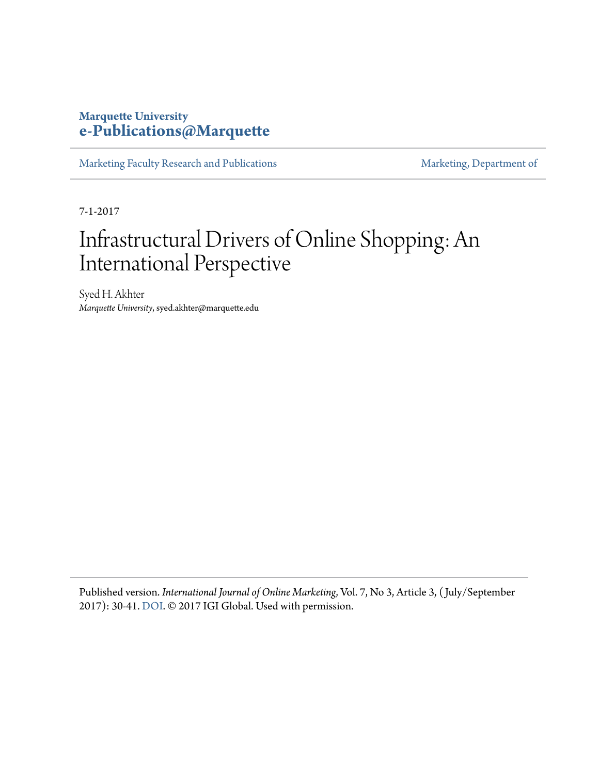### **Marquette University [e-Publications@Marquette](https://epublications.marquette.edu/)**

[Marketing Faculty Research and Publications](https://epublications.marquette.edu/market_fac) [Marketing, Department of](https://epublications.marquette.edu/market)

7-1-2017

# Infrastructural Drivers of Online Shopping: An International Perspective

Syed H. Akhter *Marquette University*, syed.akhter@marquette.edu

Published version. *International Journal of Online Marketing*, Vol. 7, No 3, Article 3, ( July/September 2017): 30-41. [DOI.](http://dx.doi.org/10.4018/IJOM.2017070103) © 2017 IGI Global. Used with permission.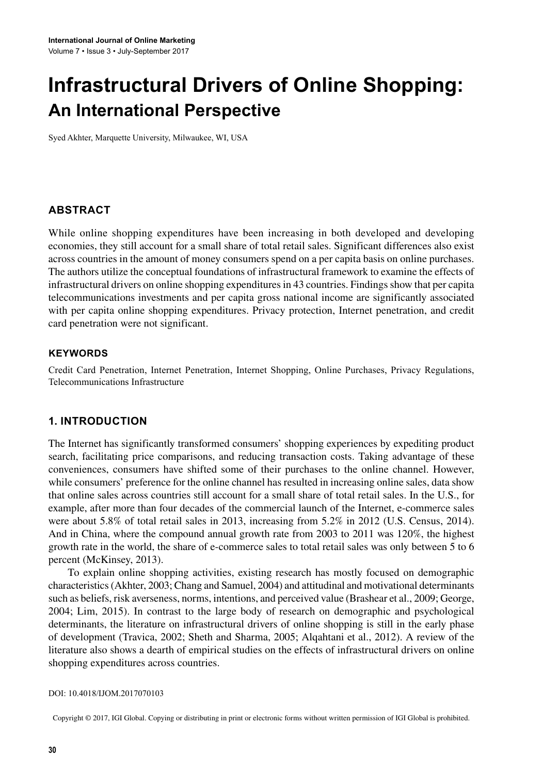## **Infrastructural Drivers of Online Shopping: An International Perspective**

Syed Akhter, Marquette University, Milwaukee, WI, USA

#### **ABSTRACT**

While online shopping expenditures have been increasing in both developed and developing economies, they still account for a small share of total retail sales. Significant differences also exist across countries in the amount of money consumers spend on a per capita basis on online purchases. The authors utilize the conceptual foundations of infrastructural framework to examine the effects of infra tructural drivers on online shopping expenditures in 43 countries. Findings show that per capita telecommunications investments and per capita gross national income are significantly associated with per capita online shopping expenditures. Privacy protection, Internet penetration, and credit card penetration were not significant.

#### **KeywORDS**

 Credit Card Penetration, Internet Penetration, Internet Shopping, Online Purchases, Privacy Regulations, Telecommunications Infrastructure

#### **1. INTRODUCTION**

The Internet has significantly transformed consumers' shopping experiences by expediting product search, facilitating price comparisons, and reducing transaction costs. Taking advantage of these conveniences, consumers have shifted some of their purchases to the online channel. However, while consumers' preference for the online channel has resulted in increasing online sales, data show that online sales across countries still account for a small share of total retail sales. In the U.S., for example, after more than four decades of the commercial launch of the Internet, e-commerce sales were about  $5.8\%$  of total retail sales in 2013, increasing from  $5.2\%$  in 2012 (U.S. Census, 2014). And in China, where the compound annual growth rate from 2003 to 2011 was 120%, the highest growth rate in the world, the share of e-commerce sales to total retail sales was only between 5 to 6 percent (McKinsey, 2013).

To explain online shopping activities, existing research has mostly focused on demographic characteristics (Akhter, 2003; Chang and Samuel, 2004) and attitudinal and motivational determinants such as beliefs, risk averseness, norms, intentions, and perceived value (Brashear et al., 2009; George, 2004; Lim, 2015). In contrast to the large body of research on demographic and psychological determinants, the literature on infrastructural drivers of online shopping is still in the early phase of development (Travica, 2002; Sheth and Sharma, 2005; Alqahtani et al., 2012). A review of the literature also shows a dearth of empirical studies on the effects of infrastructural drivers on online shopping expenditures across countries.

#### DOI: 10.4018/IJOM.2017070103

Copyright © 2017, IGI Global. Copying or distributing in print or electronic forms without written permission of IGI Global is prohibited.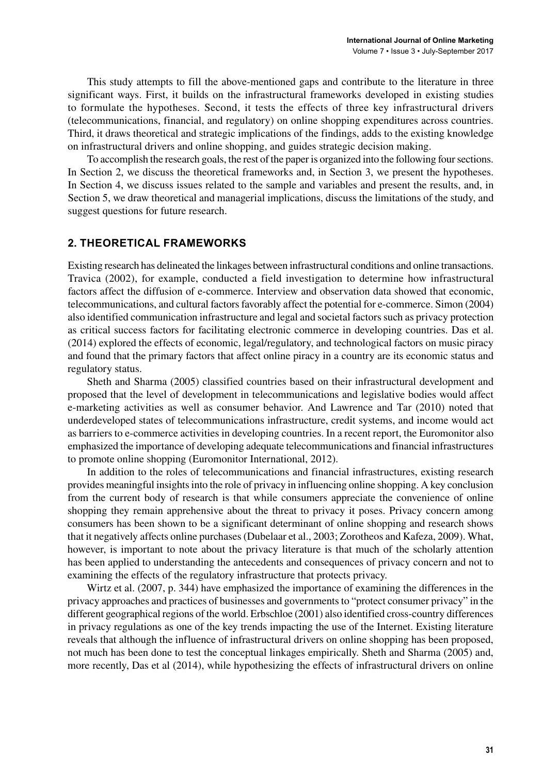This study attempts to fill the above-mentioned gaps and contribute to the literature in three significant ways. First, it builds on the infrastructural frameworks developed in existing studies to formulate the hypotheses. Second, it tests the effects of three key infrastructural drivers (telecommunications, financial, and regulatory) on online shopping expenditures across countries. Third, it draws theoretical and strategic implications of the findings, adds to the existing knowledge on infrastructural drivers and online shopping, and guides strategic decision making.

To accomplish the research goals, the rest of the paper is organized into the following four sections. In Section 2, we discuss the theoretical frameworks and, in Section 3, we present the hypotheses. In Section 4, we discuss issues related to the sample and variables and present the results, and, in Section 5, we draw theoretical and managerial implications, discuss the limitations of the study, and suggest questions for future research.

#### **2. THeOReTICAL FRAMewORKS**

Existing research has delineated the linkages between infrastructural conditions and online transactions. Travica (2002), for example, conducted a field investigation to determine how infrastructural factors affect the diffusion of e-commerce. Interview and observation data showed that economic, telecommunications, and cultural factors favorably affect the potential for e-commerce. Simon (2004) also identified communication infrastructure and legal and societal factors such as privacy protection as critical success factors for facilitating electronic commerce in developing countries. Das et al. (2014) explored the effects of economic, legal/regulatory, and technological factors on music piracy and found that the primary factors that affect online piracy in a country are its economic status and regulatory status.

Sheth and Sharma (2005) classified countries based on their infrastructural development and proposed that the level of development in telecommunications and legislative bodies would affect e-marketing activities as well as consumer behavior. And Lawrence and Tar (2010) noted that underdeveloped states of telecommunications infrastructure, credit systems, and income would act as barriers to e-commerce activities in developing countries. In a recent report, the Euromonitor also emphasized the importance of developing adequate telecommunications and financial infrastructures to promote online hopping (Euromonitor International, 2012).

In addition to the roles of telecommunications and financial infrastructures, existing research provides meaningful insights into the role of privacy in influencing online shopping. A key conclusion from the current body of research is that while consumers appreciate the convenience of online shopping they remain apprehensive about the threat to privacy it poses. Privacy concern among consumers has been shown to be a significant determinant of online shopping and research shows that it negatively affects online purchases (Dubelaar et al., 2003; Zorotheos and Kafeza, 2009). What, however, is important to note about the privacy literature is that much of the scholarly attention has been applied to understanding the antecedents and consequences of privacy concern and not to examining the effects of the regulatory infrastructure that protects privacy.

Wirtz et al. (2007, p. 344) have emphasized the importance of examining the differences in the privacy approaches and practices of businesses and governments to "protect consumer privacy" in the different geographical regions of the world. Erbschloe (2001) also identified cross-country differences in privacy regulations as one of the key trends impacting the use of the Internet. Existing literature reveals that although the influence of infrastructural drivers on online shopping has been proposed, not much has been done to test the conceptual linkages empirically. Sheth and Sharma (2005) and, more recently, Das et al (2014), while hypothesizing the effects of infrastructural drivers on online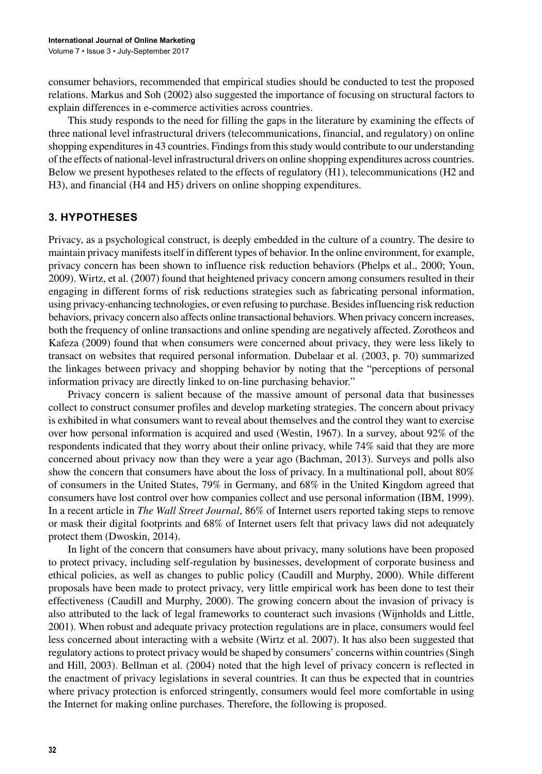consumer behaviors, recommended that empirical studies should be conducted to test the proposed relations. Markus and Soh (2002) also suggested the importance of focusing on structural factors to explain differences in e-commerce activities across countries.

This study responds to the need for filling the gaps in the literature by examining the effects of three national level infrastructural drivers (telecommunications, financial, and regulatory) on online shopping expenditures in 43 countries. Findings from this study would contribute to our understanding of the effects of national-level infrastructural drivers on online shopping expenditures across countries. Below we present hypotheses related to the effects of regulatory (H1), telecommunications (H2 and H3), and financial (H4 and H5) drivers on online shopping expenditures.

#### **3. HyPOTHeSeS**

Privacy, as a psychological construct, is deeply embedded in the culture of a country. The desire to maintain privacy manifests itself in different types of behavior. In the online environment, for example, privacy concern has been shown to influence risk reduction behaviors (Phelps et al., 2000; Youn, 2009). Wirtz, et al. (2007) found that heightened privacy concern among consumers resulted in their engaging in different forms of risk reductions strategies such as fabricating personal information, using privacy-enhancing technologies, or even refusing to purchase. Besides influencing risk reduction behaviors, privacy concern also affects online transactional behaviors. When privacy concern increases, both the frequency of online transactions and online spending are negatively affected. Zorotheos and Kafeza (2009) found that when consumers were concerned about privacy, they were less likely to transact on websites that required personal information. Dubelaar et al. (2003, p. 70) summarized the linkages between privacy and shopping behavior by noting that the "perceptions of personal information privacy are directly linked to on-line purchasing behavior."

Privacy concern is salient because of the massive amount of personal data that businesses collect to construct consumer profiles and develop marketing strategies. The concern about privacy is exhibited in what consumers want to reveal about themselves and the control they want to exercise over how personal information is acquired and used (Westin, 1967). In a survey, about  $92\%$  of the respondents indicated that they worry about their online privacy, while 74% said that they are more concerned about privacy now than they were a year ago (Bachman, 2013). Surveys and polls also show the concern that consumers have about the loss of privacy. In a multinational poll, about 80% of consumers in the United States, 79% in Germany, and 68% in the United Kingdom agreed that consumers have lost control over how companies collect and use personal information (IBM, 1999). In a recent article in *The Wall Street Journal*, 86% of Internet users reported taking steps to remove or mask their digital footprints and 68% of Internet users felt that privacy laws did not adequately protect them (Dwoskin, 2014).

In light of the concern that consumers have about privacy, many solutions have been proposed to protect privacy, including self-regulation by businesses, development of corporate business and ethical policies, as well as changes to public policy (Caudill and Murphy, 2000). While different proposals have been made to protect privacy, very little empirical work has been done to test their effectiveness (Caudill and Murphy, 2000). The growing concern about the invasion of privacy is also attributed to the lack of legal frameworks to counteract such invasions (Wijnholds and Little, 2001). When robust and adequate privacy protection regulations are in place, consumers would feel less concerned about interacting with a website (Wirtz et al. 2007). It has also been suggested that regulatory actions to protect privacy would be shaped by consumers' concerns within countries (Singh and Hill, 2003). Bellman et al. (2004) noted that the high level of privacy concern is reflected in the enactment of privacy legislations in several countries. It can thus be expected that in countries where privacy protection is enforced stringently, consumers would feel more comfortable in using the Internet for making online purchases. Therefore, the following is proposed.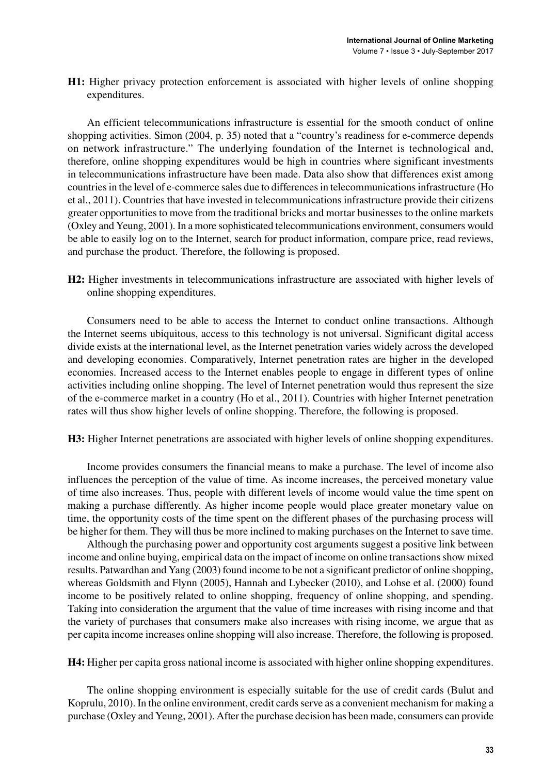**H1:** Higher privacy protection enforcement is associated with higher levels of online shopping expenditures.

An efficient telecommunications infrastructure is essential for the smooth conduct of online shopping activities. Simon (2004, p. 35) noted that a "country's readiness for e-commerce depends on network infrastructure." The underlying foundation of the Internet is technological and, therefore, online shopping expenditures would be high in countries where significant investments in telecommunications infrastructure have been made. Data also show that differences exist among countries in the level of e-commerce sales due to differences in telecommunications infrastructure (Ho et al., 2011). Countries that have invested in telecommunications infrastructure provide their citizens greater opportunities to move from the traditional bricks and mortar businesses to the online markets (Oxley and Yeung, 2001). In a more sophisticated telecommunications environment, consumers would be able to easily log on to the Internet, search for product information, compare price, read reviews, and purchase the product. Therefore, the following is proposed.

H2: Higher investments in telecommunications infrastructure are associated with higher levels of online shopping expenditures.

Consumers need to be able to access the Internet to conduct online transactions. Although the Internet seems ubiquitous, access to this technology is not universal. Significant digital access divide exists at the international level, as the Internet penetration varies widely across the developed and developing economies. Comparatively, Internet penetration rates are higher in the developed economies. Increased access to the Internet enables people to engage in different types of online activities including online shopping. The level of Internet penetration would thus represent the size of the e-commerce market in a country (Ho et al., 2011). Countries with higher Internet penetration rates will thus show higher levels of online shopping. Therefore, the following is proposed.

H3: Higher Internet penetrations are associated with higher levels of online shopping expenditures.

Income provides consumers the financial means to make a purchase. The level of income also influences the perception of the value of time. As income increases, the perceived monetary value of time also increases. Thus, people with different levels of income would value the time spent on making a purchase differently. As higher income people would place greater monetary value on time, the opportunity costs of the time spent on the different phases of the purchasing process will be higher for them. They will thus be more inclined to making purchases on the Internet to save time.

Although the purchasing power and opportunity cost arguments suggest a positive link between income and online buying, empirical data on the impact of income on online transactions show mixed results. Patwardhan and Yang (2003) found income to be not a significant predictor of online shopping, whereas Goldsmith and Flynn (2005), Hannah and Lybecker (2010), and Lohse et al. (2000) found income to be positively related to online shopping, frequency of online shopping, and spending. Taking into consideration the argument that the value of time increases with rising income and that the variety of purchases that consumers make also increases with rising income, we argue that as per capita income increases online shopping will also increase. Therefore, the following is proposed.

H4: Higher per capita gross national income is associated with higher online shopping expenditures.

The online shopping environment is especially suitable for the use of credit cards (Bulut and Koprulu, 2010). In the online environment, credit cards serve as a convenient mechanism for making a purchase (Oxley and Yeung, 2001). After the purchase decision has been made, consumers can provide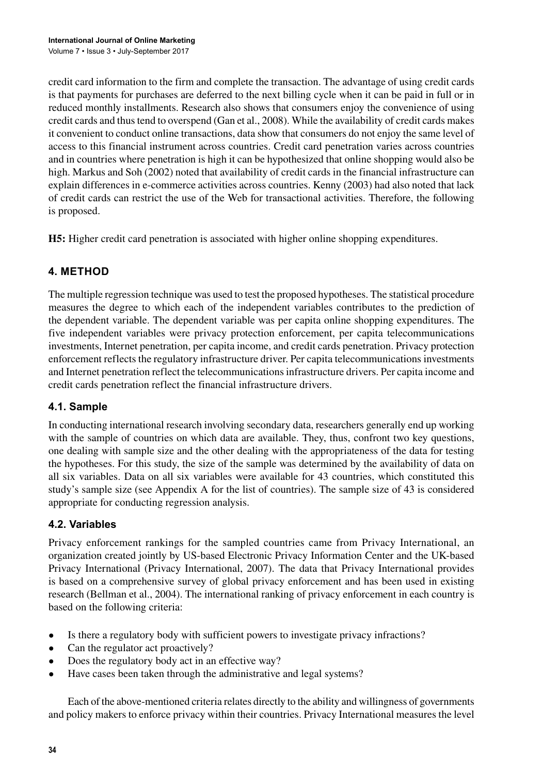credit card information to the firm and complete the transaction. The advantage of using credit cards is that payments for purchases are deferred to the next billing cycle when it can be paid in full or in reduced monthly installments. Research also shows that consumers enjoy the convenience of using credit cards and thus tend to overspend (Gan et al., 2008). While the availability of credit cards makes it convenient to conduct online transactions, data show that consumers do not enjoy the same level of access to this financial instrument across countries. Credit card penetration varies across countries and in countries where penetration is high it can be hypothesized that online shopping would also be high. Markus and Soh (2002) noted that availability of credit cards in the financial infrastructure can explain differences in e-commerce activities across countries. Kenny (2003) had also noted that lack of credit cards can restrict the use of the Web for transactional activities. Therefore, the following is proposed.

**H5:** Higher credit card penetration is associated with higher online shopping expenditures.

#### **4. MeTHOD**

The multiple regression technique was used to test the proposed hypotheses. The statistical procedure measures the degree to which each of the independent variables contributes to the prediction of the dependent variable. The dependent variable was per capita online shopping expenditures. The five independent variables were privacy protection enforcement, per capita telecommunications investments, Internet penetration, per capita income, and credit cards penetration. Privacy protection enforcement reflects the regulatory infrastructure driver. Per capita telecommunications investments and Internet penetration reflect the telecommunications infrastructure drivers. Per capita income and credit cards penetration reflect the financial infrastructure drivers.

#### **4.1. Sample**

In conducting international research involving secondary data, researchers generally end up working with the sample of countries on which data are available. They, thus, confront two key questions, one dealing with sample size and the other dealing with the appropriateness of the data for testing the hypotheses. For this study, the size of the sample was determined by the availability of data on all six variables. Data on all six variables were available for 43 countries, which constituted this study's sample size (see Appendix A for the list of countries). The sample size of 43 is considered appropriate for conducting regression analysis.

#### **4.2. Variables**

Privacy enforcement rankings for the sampled countries came from Privacy International, an organization created jointly by US-based Electronic Privacy Information Center and the UK-based Privacy International (Privacy International, 2007). The data that Privacy International provide is based on a comprehensive survey of global privacy enforcement and has been used in existing research (Bellman et al., 2004). The international ranking of privacy enforcement in each country is based on the following criteria:

- Is there a regulatory body with sufficient powers to investigate privacy infractions?
- Can the regulator act proactively?
- Does the regulatory body act in an effective way?
- Have cases been taken through the administrative and legal systems?

Each of the above-mentioned criteria relates directly to the ability and willingness of governments and policy makers to enforce privacy within their countries. Privacy International measures the level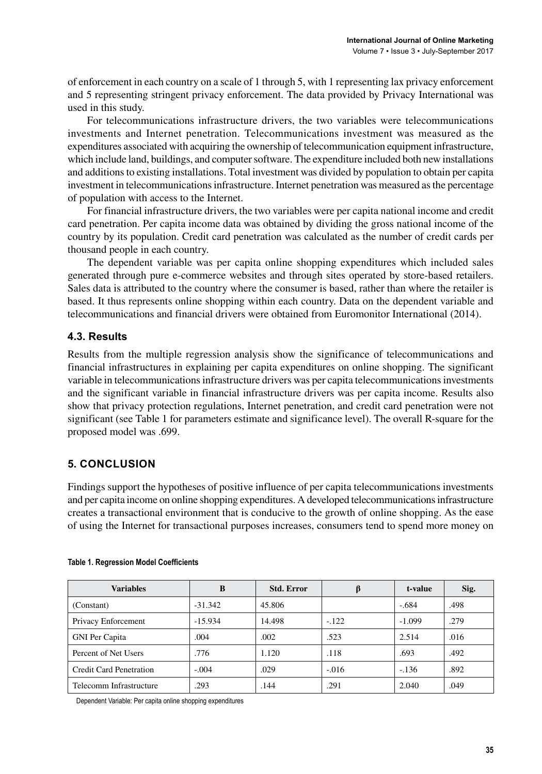of enforcement in each country on a cale of 1 through 5, with 1 repre enting lax privacy enforcement and 5 representing stringent privacy enforcement. The data provided by Privacy International was used in this study.

For telecommunications infrastructure drivers, the two variables were telecommunications investments and Internet penetration. Telecommunications investment was measured as the expenditures associated with acquiring the ownership of telecommunication equipment infrastructure, which include land, buildings, and computer software. The expenditure included both new installations and additions to existing installations. Total investment was divided by population to obtain per capita investment in telecommunications infrastructure. Internet penetration was measured as the percentage of population with access to the Internet.

For financial infrastructure drivers, the two variables were per capita national income and credit card penetration. Per capita income data was obtained by dividing the gross national income of the country by its population. Credit card penetration was calculated as the number of credit cards per thousand people in each country.

The dependent variable was per capita online shopping expenditures which included sales generated through pure e-commerce websites and through sites operated by store-based retailers. Sales data is attributed to the country where the consumer is based, rather than where the retailer is based. It thus represents online shopping within each country. Data on the dependent variable and telecommunications and financial drivers were obtained from Euromonitor International (2014).

#### **4.3. Results**

Results from the multiple regression analysis show the significance of telecommunications and financial infra tructure in explaining per capita expenditure on online hopping. The ignificant variable in telecommunications infrastructure drivers was per capita telecommunications investments and the significant variable in financial infrastructure drivers was per capita income. Results also show that privacy protection regulations, Internet penetration, and credit card penetration were not significant (see Table 1 for parameters estimate and significance level). The overall R-square for the proposed model was .699.

#### **5. CONCLUSION**

Findings support the hypotheses of positive influence of per capita telecommunications investments and per capita income on online shopping expenditures. A developed telecommunications infrastructure creates a transactional environment that is conducive to the growth of online shopping. As the ease of using the Internet for transactional purposes increases, consumers tend to spend more money on

| <b>Variables</b>               | B         | <b>Std. Error</b> |         | t-value  | Sig. |
|--------------------------------|-----------|-------------------|---------|----------|------|
| (Constant)                     | $-31.342$ | 45.806            |         | $-.684$  | .498 |
| Privacy Enforcement            | $-15.934$ | 14.498            | $-.122$ | $-1.099$ | .279 |
| <b>GNI</b> Per Capita          | .004      | .002              | .523    | 2.514    | .016 |
| Percent of Net Users           | .776      | 1.120             | .118    | .693     | .492 |
| <b>Credit Card Penetration</b> | $-.004$   | .029              | $-.016$ | $-136$   | .892 |
| Telecomm Infrastructure        | .293      | .144              | .291    | 2.040    | .049 |

#### **Table 1. Regression Model Coefficients**

Dependent Variable: Per capita online shopping expenditures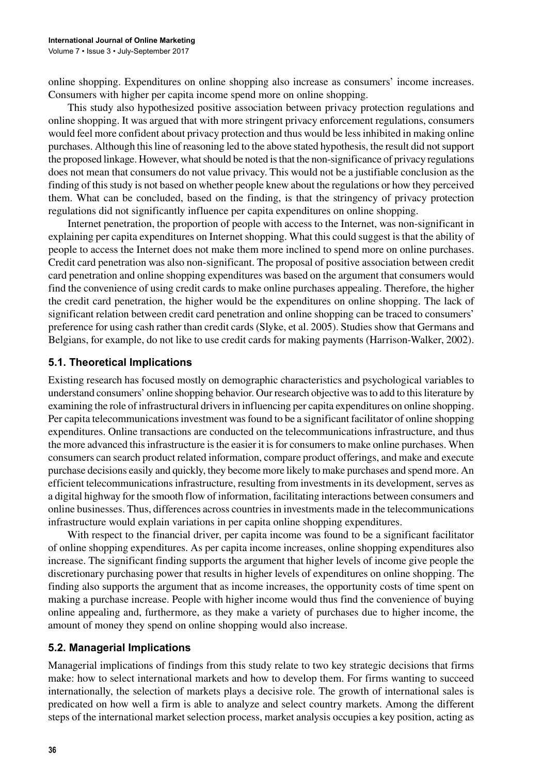online shopping. Expenditures on online shopping also increase as consumers' income increases. Consumers with higher per capita income spend more on online shopping.

This study also hypothesized positive association between privacy protection regulations and online shopping. It was argued that with more stringent privacy enforcement regulations, consumers would feel more confident about privacy protection and thus would be less inhibited in making online purchases. Although this line of reasoning led to the above stated hypothesis, the result did not support the proposed linkage. However, what should be noted is that the non-significance of privacy regulations does not mean that consumers do not value privacy. This would not be a justifiable conclusion as the finding of this study is not based on whether people knew about the regulations or how they perceived them. What can be concluded, based on the finding, is that the stringency of privacy protection regulations did not significantly influence per capita expenditures on online shopping.

Internet penetration, the proportion of people with access to the Internet, was non-significant in explaining per capita expenditures on Internet shopping. What this could suggest is that the ability of people to access the Internet does not make them more inclined to spend more on online purchases. Credit card penetration was also non-significant. The proposal of positive association between credit card penetration and online shopping expenditures was based on the argument that consumers would find the convenience of using credit cards to make online purchases appealing. Therefore, the higher the credit card penetration, the higher would be the expenditures on online shopping. The lack of significant relation between credit card penetration and online shopping can be traced to consumers' preference for using cash rather than credit cards (Slyke, et al. 2005). Studies show that Germans and Belgians, for example, do not like to use credit cards for making payments (Harrison-Walker, 2002).

#### **5.1. Theoretical Implications**

Existing research has focused mostly on demographic characteristics and psychological variables to under stand consumers' online shopping behavior. Our research objective was to add to this literature by examining the role of infrastructural drivers in influencing per capita expenditures on online shopping. Per capita telecommunications investment was found to be a significant facilitator of online shopping expenditures. Online transactions are conducted on the telecommunications infrastructure, and thus the more advanced this infrastructure is the easier it is for consumers to make online purchases. When consumers can search product related information, compare product offerings, and make and execute purchase decisions easily and quickly, they become more likely to make purchases and spend more. An efficient telecommunications infrastructure, resulting from investments in its development, serves as a digital highway for the smooth flow of information, facilitating interactions between consumers and online businesses. Thus, differences across countries in investments made in the telecommunications infra tructure would explain variations in per capita online shopping expenditures.

With respect to the financial driver, per capita income was found to be a significant facilitator of online shopping expenditures. As per capita income increases, online shopping expenditures also increase. The significant finding supports the argument that higher levels of income give people the discretionary purchasing power that results in higher levels of expenditures on online shopping. The finding also supports the argument that as income increases, the opportunity costs of time spent on making a purchase increase. People with higher income would thus find the convenience of buying online appealing and, furthermore, as they make a variety of purchases due to higher income, the amount of money they spend on online shopping would also increase.

#### **5.2. Managerial Implications**

Managerial implications of findings from this study relate to two key strategic decisions that firms make: how to select international markets and how to develop them. For firms wanting to succeed internationally, the selection of markets plays a decisive role. The growth of international sales is predicated on how well a firm is able to analyze and select country markets. Among the different steps of the international market selection process, market analysis occupies a key position, acting as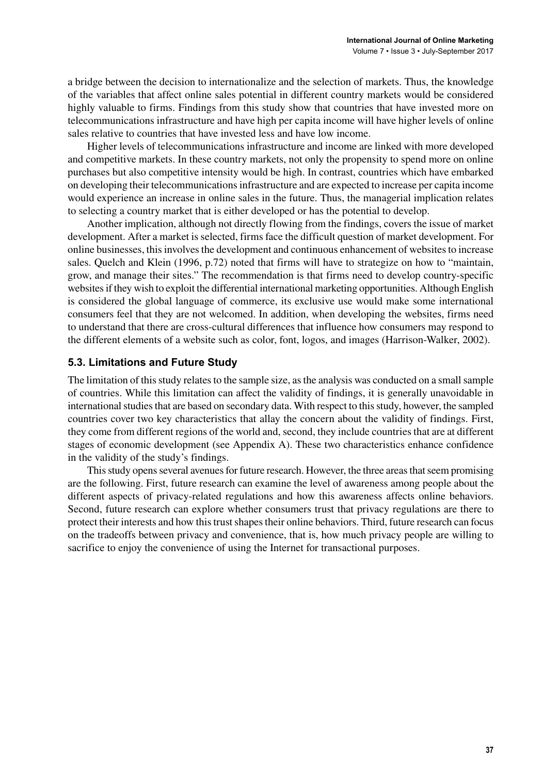a bridge between the decision to internationalize and the selection of markets. Thus, the knowledge of the variables that affect online sales potential in different country markets would be considered highly valuable to firms. Findings from this study show that countries that have invested more on telecommunications infrastructure and have high per capita income will have higher levels of online sales relative to countries that have invested less and have low income.

Higher levels of telecommunications infrastructure and income are linked with more developed and competitive markets. In these country markets, not only the propensity to spend more on online purchases but also competitive intensity would be high. In contrast, countries which have embarked on developing their telecommunications infrastructure and are expected to increase per capita income would experience an increase in online sales in the future. Thus, the managerial implication relates to selecting a country market that is either developed or has the potential to develop.

Another implication, although not directly flowing from the findings, covers the issue of market development. After a market is selected, firms face the difficult question of market development. For online businesses, this involves the development and continuous enhancement of websites to increase sales. Quelch and Klein (1996, p.72) noted that firms will have to strategize on how to "maintain, grow, and manage their sites." The recommendation is that firms need to develop country-specific web sites if they wish to exploit the differential international marketing opportunities. Although English is considered the global language of commerce, its exclusive use would make some international consumers feel that they are not welcomed. In addition, when developing the websites, firms need to understand that there are cross-cultural differences that influence how consumers may respond to the different elements of a website such as color, font, logos, and images (Harrison-Walker, 2002).

#### **5.3. Limitations and Future Study**

The limitation of this study relates to the sample size, as the analysis was conducted on a small sample of countries. While this limitation can affect the validity of findings, it is generally unavoidable in international studies that are based on secondary data. With respect to this study, however, the sampled countries cover two key characteristics that allay the concern about the validity of findings. First, they come from different regions of the world and, second, they include countries that are at different stages of economic development (see Appendix A). These two characteristics enhance confidence in the validity of the study's findings.

This study opens several avenues for future research. However, the three areas that seem promising are the following. First, future research can examine the level of awareness among people about the different aspects of privacy-related regulations and how this awareness affects online behaviors. Second, future research can explore whether consumers trust that privacy regulations are there to protect their interests and how this trust shapes their online behaviors. Third, future research can focus on the tradeoffs between privacy and convenience, that is, how much privacy people are willing to sacrifice to enjoy the convenience of using the Internet for transactional purposes.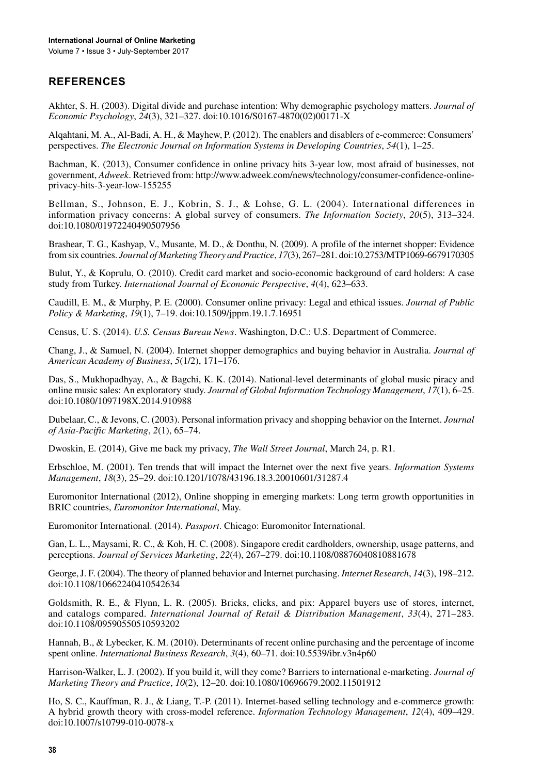#### **ReFeReNCeS**

Akhter, S. H. (2003). Digital divide and purchase intention: Why demographic psychology matters. *Journal of Economic Psychology* , *2* (3), 321–327. doi[:10.1016/S0167-4870\(02\)00171-X](http://dx.doi.org/10.1016/S0167-4870(02)00171-X)

Alqahtani, M. A., Al-Badi, A. H., & Mayhew, P. (2012). The enablers and disablers of e-commerce: Consumers' perspectives. The Electronic Journal on Information Systems in Developing Countries, 54(1), 1–25.

Bachman, K. (2013), Consumer confidence in online privacy hits 3-year low, most afraid of businesses, not government, *Adweek*. Retrieved from: http://www.adweek.com/news/technology/consumer-confidence-onlineprivacy-hits-3-year-low-155255

Bellman, S., Johnson, E. J., Kobrin, S. J., & Lohse, G. L. (2004). International differences in information privacy concerns: A global survey of consumers. The Information Society, 20(5), 313–324. doi[:10.1080/01972240490507956](http://dx.doi.org/10.1080/01972240490507956)

 from ix countrie . *Journal of Marketing Theory and Practice*, *17*(3), 267–281. doi[:10.2753/MTP1069-6679170305](http://dx.doi.org/10.2753/MTP1069-6679170305) Brashear, T. G., Kashyap, V., Musante, M. D., & Donthu, N. (2009). A profile of the internet shopper: Evidence

Bulut, Y., & Koprulu, O. (2010). Credit card market and socio-economic background of card holders: A case tudy from Turkey. *International Journal of Economic Perspective*,(4), 623–633.

Caudill, E. M., & Murphy, P. E. (2000). Consumer online privacy: Legal and ethical issues. *Journal of Public Policy & Marketing* , *19*(1), 7–19. doi[:10.1509/jppm.19.1.7.16951](http://dx.doi.org/10.1509/jppm.19.1.7.16951)

Census, U. S. (2014). *U.S. Census Bureau News*. Washington, D.C.: U.S. Department of Commerce.

Chang, J., & Samuel, N. (2004). Internet shopper demographics and buying behavior in Australia. *Journal of American Academy of Business* , *5*(1/2), 171–176.

Das, S., Mukhopadhyay, A., & Bagchi, K. K. (2014). National-level determinants of global music piracy and online music sales: An exploratory study. *Journal of Global Information Technology Management*,  $17(1)$ , 6–25. doi[:10.1080/1097198X.2014.910988](http://dx.doi.org/10.1080/1097198X.2014.910988)

Dubelaar, C., & Jevons, C. (2003). Personal information privacy and shopping behavior on the Internet. *Journal of Asia-Pacific Marketing* , *2*(1), 65–74.

Dwoskin, E. (2014), Give me back my privacy, *The Wall Street Journal*, March 24, p. R1.

Erbschloe, M. (2001). Ten trends that will impact the Internet over the next five years. *Information Systems Management* , *18*(3), 25–29. doi[:10.1201/1078/43196.18.3.20010601/31287.4](http://dx.doi.org/10.1201/1078/43196.18.3.20010601/31287.4)

Euromonitor International (2012), Online shopping in emerging markets: Long term growth opportunities in BRIC countries, *Euromonitor International*, May.

Euromonitor International. (2014). *Passport*. Chicago: Euromonitor International.

Gan, L. L., Maysami, R. C., & Koh, H. C. (2008). Singapore credit cardholders, ownership, usage patterns, and perception . *Journal of Services Marketing*, *22*(4), 267–279. doi:[10.1108/08876040810881678](http://dx.doi.org/10.1108/08876040810881678)

George, J. F. (2004). The theory of planned behavior and Internet purchasing. *Internet Research*, 14(3), 198–212. doi:[10.1108/10662240410542634](http://dx.doi.org/10.1108/10662240410542634)

and catalogs compared. *International Journal of Retail & Distribution Management*, 33(4), 271-283. Goldsmith, R. E., & Flynn, L. R. (2005). Bricks, clicks, and pix: Apparel buyers use of stores, internet, doi:[10.1108/09590550510593202](http://dx.doi.org/10.1108/09590550510593202)

Hannah, B., & Lybecker, K. M. (2010). Determinants of recent online purchasing and the percentage of income pent online. *International Business Research*, *3*(4), 60–71. doi:[10.5539/ibr.v3n4p60](http://dx.doi.org/10.5539/ibr.v3n4p60)

Harrison-Walker, L. J. (2002). If you build it, will they come? Barriers to international e-marketing. *Journal of Marketing Theory and Practice* , *10*(2), 12–20. doi:[10.1080/10696679.2002.11501912](http://dx.doi.org/10.1080/10696679.2002.11501912)

Ho, S. C., Kauffman, R. J., & Liang, T.-P. (2011). Internet-based selling technology and e-commerce growth: A hybrid growth theory with cross-model reference. *Information Technology Management*,  $12(4)$ ,  $409-429$ . doi:10.1007/s10799-010-0078-x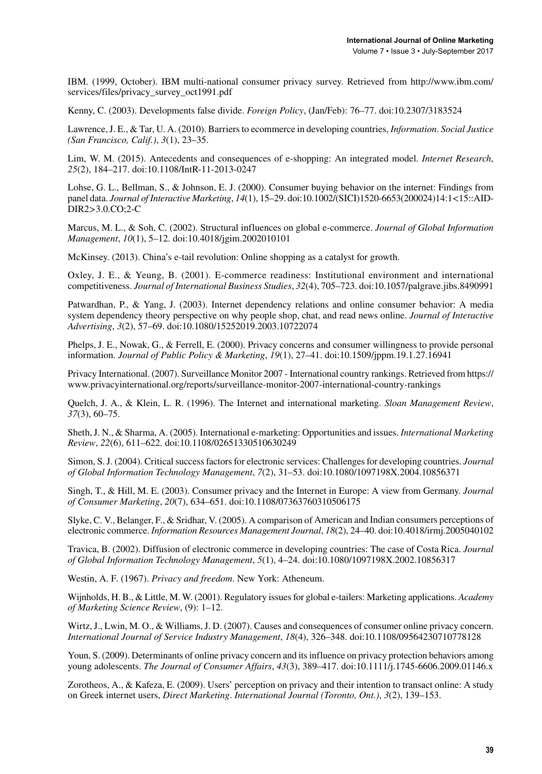IBM. (1999, October). IBM multi-national consumer privacy survey. Retrieved from http://www.ibm.com/ services/files/privacy\_survey\_oct1991.pdf

Kenny, C. (2003). Developments false divide. *Foreign Policy*, (Jan/Feb): 76–77. doi[:10.2307/3183524](http://dx.doi.org/10.2307/3183524)

Lawrence, J. E., & Tar, U. A. (2010). Barriers to ecommerce in developing countries, *Information*. *Social Justice (San Francisco, Calif.)* , *3*(1), 23–35.

Lim, W. M. (2015). Antecedents and consequences of e-shopping: An integrated model. *Internet Research*, *25* (2), 184–217. doi:[10.1108/IntR-11-2013-0247](http://dx.doi.org/10.1108/IntR-11-2013-0247)

 panel data. *Journal of Interactive Marketing*, *1* (1), 15–29. doi[:10.1002/\(SICI\)1520-6653\(200024\)14:1<15::AID-](http://dx.doi.org/10.1002/(SICI)1520-6653(200024)14:1<15::AID-DIR2>3.0.CO;2-C)Lohse, G. L., Bellman, S., & Johnson, E. J. (2000). Consumer buying behavior on the internet: Findings from [DIR2>3.0.CO;2-C](http://dx.doi.org/10.1002/(SICI)1520-6653(200024)14:1<15::AID-DIR2>3.0.CO;2-C)

Marcus, M. L., & Soh, C. (2002). Structural influences on global e-commerce. *Journal of Global Information Management* , *10*(1), 5–12. doi:[10.4018/jgim.2002010101](http://dx.doi.org/10.4018/jgim.2002010101)

McKinsey. (2013). China's e-tail revolution: Online shopping as a catalyst for growth.

 competitivene . *Journal of International Business Studies*, *32*(4), 705–723. doi:[10.1057/palgrave.jib .8490991](http://dx.doi.org/10.1057/palgrave.jibs.8490991) Oxley, J. E., & Yeung, B.  $(2001)$ . E-commerce readiness: Institutional environment and international

Patwardhan, P., & Yang, J. (2003). Internet dependency relations and online consumer behavior: A media system dependency theory perspective on why people shop, chat, and read news online. *Journal of Interactive Advertising* , *3*(2), 57–69. doi[:10.1080/15252019.2003.10722074](http://dx.doi.org/10.1080/15252019.2003.10722074)

Phelps, J. E., Nowak, G., & Ferrell, E. (2000). Privacy concerns and consumer willingness to provide personal information. *Journal of Public Policy & Marketing*, *19*(1), 27–41. doi[:10.1509/jppm.19.1.27.16941](http://dx.doi.org/10.1509/jppm.19.1.27.16941)

Privacy International. (2007). Surveillance Monitor 2007 - International country rankings. Retrieved from https:// www.privacyinternational.org/reports/surveillance-monitor-2007-international-country-rankings

Quelch, J. A., & Klein, L. R. (1996). The Internet and international marketing. *Sloan Management Review* , *37* (3), 60–75.

Sheth, J. N., & Sharma, A. (2005). International e-marketing: Opportunities and issues. *International Marketing Review* , *22*(6), 611–622. doi[:10.1108/02651330510630249](http://dx.doi.org/10.1108/02651330510630249)

Simon, S. J. (2004). Critical success factors for electronic services: Challenges for developing countries. *Journal of Global Information Technology Management* , *7*(2), 31–53. doi:[10.1080/1097198X.2004.10856371](http://dx.doi.org/10.1080/1097198X.2004.10856371)

Singh, T., & Hill, M. E. (2003). Consumer privacy and the Internet in Europe: A view from Germany. *Journal of Consumer Marketing* , *20*(7), 634–651. doi[:10.1108/07363760310506175](http://dx.doi.org/10.1108/07363760310506175)

 electronic commerce. *Information Resources Management Journal*, *18*(2), 24–40. doi:[10.4018/irmj.2005040102](http://dx.doi.org/10.4018/irmj.2005040102) Slyke, C. V., Belanger, F., & Sridhar, V. (2005). A comparison of American and Indian consumers perceptions of

Travica, B. (2002). Diffusion of electronic commerce in developing countries: The case of Costa Rica. *Journal of Global Information Technology Management* , *5*(1), 4–24. doi[:10.1080/1097198X.2002.10856317](http://dx.doi.org/10.1080/1097198X.2002.10856317)

We tin, A. F. (1967). *Privacy and freedom*. New York: Atheneum.

Wijnholds, H. B., & Little, M. W. (2001). Regulatory issues for global e-tailers: Marketing applications. *Academy of Marketing Science Review* , (9): 1–12.

Wirtz, J., Lwin, M. O., & Williams, J. D. (2007). Causes and consequences of consumer online privacy concern. *International Journal of Service Industry Management, 18(4), 326–348. doi[:10.1108/09564230710778128](http://dx.doi.org/10.1108/09564230710778128)* 

Youn, S. (2009). Determinants of online privacy concern and its influence on privacy protection behaviors among young adolescents. *The Journal of Consumer Affairs*, 43(3), 389-417. doi[:10.1111/j.1745-6606.2009.01146.x](http://dx.doi.org/10.1111/j.1745-6606.2009.01146.x)

Zorotheos, A., & Kafeza, E. (2009). Users' perception on privacy and their intention to transact online: A study on Greek internet u er , *Direct Marketing*. *International Journal (Toronto, Ont.)*, *3*(2), 139–153.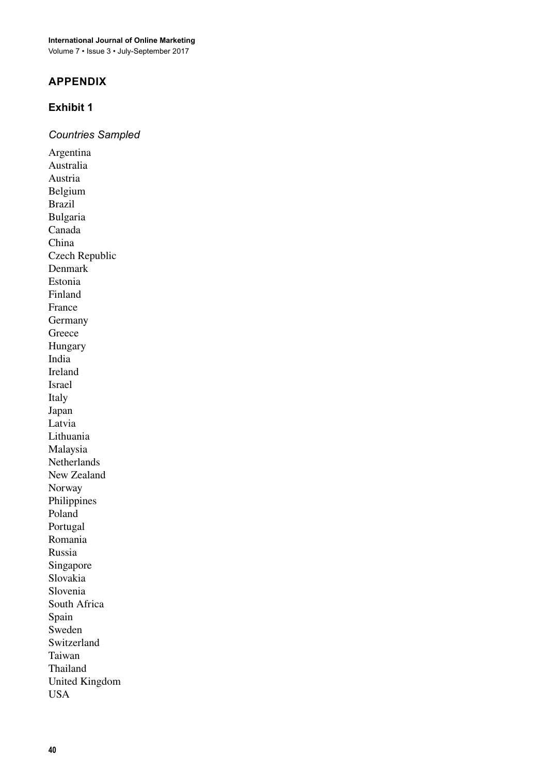**International Journal of Online Marketing**

Volume 7 • Issue 3 • July-September 2017

#### **APPeNDIX**

#### **exhibit 1**

*Countries Sampled*

Argentina Australia Austria Belgium Brazil Bulgaria Canada China Czech Republic Denmark Estonia Finland France Germany Greece Hungary India Ireland **Israel** Italy Japan Latvia Lithuania **Malaysia Netherlands** New Zealand Norway **Philippines** Poland Portugal Romania Russia Singapore Slovakia Slovenia South Africa Spain Sweden Switzerland Taiwan Thailand United Kingdom USA